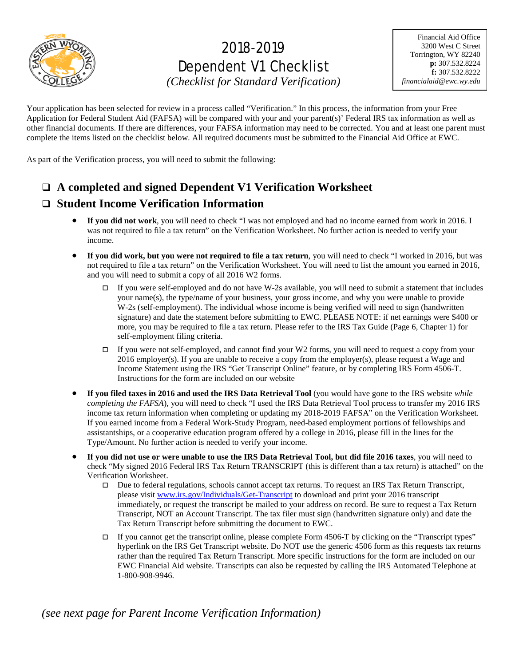

## 2018-2019 Dependent V1 Checklist

*(Checklist for Standard Verification)*

Your application has been selected for review in a process called "Verification." In this process, the information from your Free Application for Federal Student Aid (FAFSA) will be compared with your and your parent(s)' Federal IRS tax information as well as other financial documents. If there are differences, your FAFSA information may need to be corrected. You and at least one parent must complete the items listed on the checklist below. All required documents must be submitted to the Financial Aid Office at EWC.

As part of the Verification process, you will need to submit the following:

**A completed and signed Dependent V1 Verification Worksheet**

## **Student Income Verification Information**

- **If you did not work**, you will need to check "I was not employed and had no income earned from work in 2016. I was not required to file a tax return" on the Verification Worksheet. No further action is needed to verify your income.
- **If you did work, but you were not required to file a tax return**, you will need to check "I worked in 2016, but was not required to file a tax return" on the Verification Worksheet. You will need to list the amount you earned in 2016, and you will need to submit a copy of all 2016 W2 forms.
	- If you were self-employed and do not have W-2s available, you will need to submit a statement that includes your name(s), the type/name of your business, your gross income, and why you were unable to provide W-2s (self-employment). The individual whose income is being verified will need to sign (handwritten signature) and date the statement before submitting to EWC. PLEASE NOTE: if net earnings were \$400 or more, you may be required to file a tax return. Please refer to the IRS Tax Guide (Page 6, Chapter 1) for self-employment filing criteria.
	- If you were not self-employed, and cannot find your W2 forms, you will need to request a copy from your 2016 employer(s). If you are unable to receive a copy from the employer(s), please request a Wage and Income Statement using the IRS "Get Transcript Online" feature, or by completing IRS Form 4506-T. Instructions for the form are included on our website
- **If you filed taxes in 2016 and used the IRS Data Retrieval Tool** (you would have gone to the IRS website *while completing the FAFSA*), you will need to check "I used the IRS Data Retrieval Tool process to transfer my 2016 IRS income tax return information when completing or updating my 2018-2019 FAFSA" on the Verification Worksheet. If you earned income from a Federal Work-Study Program, need-based employment portions of fellowships and assistantships, or a cooperative education program offered by a college in 2016, please fill in the lines for the Type/Amount. No further action is needed to verify your income.
- **If you did not use or were unable to use the IRS Data Retrieval Tool, but did file 2016 taxes**, you will need to check "My signed 2016 Federal IRS Tax Return TRANSCRIPT (this is different than a tax return) is attached" on the Verification Worksheet.
	- Due to federal regulations, schools cannot accept tax returns. To request an IRS Tax Return Transcript, please visit [www.irs.gov/Individuals/Get-Transcript](http://www.irs.gov/Individuals/Get-Transcript) to download and print your 2016 transcript immediately, or request the transcript be mailed to your address on record. Be sure to request a Tax Return Transcript, NOT an Account Transcript. The tax filer must sign (handwritten signature only) and date the Tax Return Transcript before submitting the document to EWC.
	- If you cannot get the transcript online, please complete Form  $4506$ -T by clicking on the "Transcript types" hyperlink on the IRS Get Transcript website. Do NOT use the generic 4506 form as this requests tax returns rather than the required Tax Return Transcript. More specific instructions for the form are included on our EWC Financial Aid website. Transcripts can also be requested by calling the IRS Automated Telephone at 1-800-908-9946.

*(see next page for Parent Income Verification Information)*